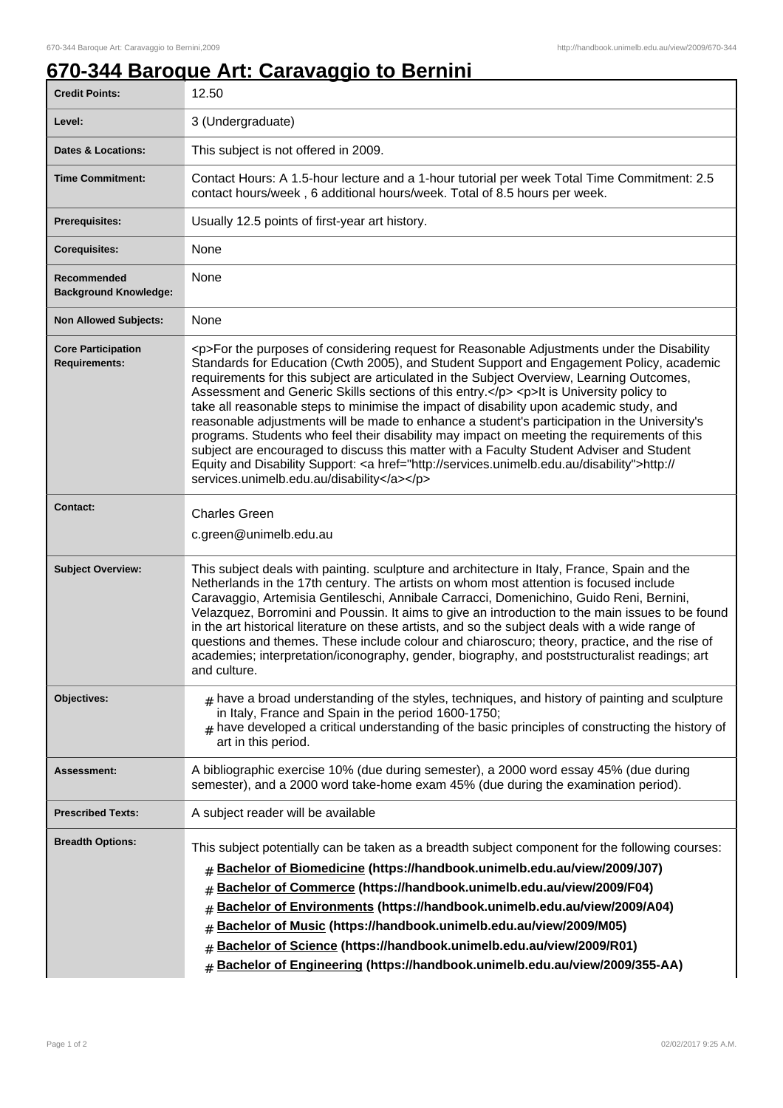## **670-344 Baroque Art: Caravaggio to Bernini**

| <b>Credit Points:</b>                             | 12.50                                                                                                                                                                                                                                                                                                                                                                                                                                                                                                                                                                                                                                                                                                                                                                                                                                                                                                                        |
|---------------------------------------------------|------------------------------------------------------------------------------------------------------------------------------------------------------------------------------------------------------------------------------------------------------------------------------------------------------------------------------------------------------------------------------------------------------------------------------------------------------------------------------------------------------------------------------------------------------------------------------------------------------------------------------------------------------------------------------------------------------------------------------------------------------------------------------------------------------------------------------------------------------------------------------------------------------------------------------|
| Level:                                            | 3 (Undergraduate)                                                                                                                                                                                                                                                                                                                                                                                                                                                                                                                                                                                                                                                                                                                                                                                                                                                                                                            |
| <b>Dates &amp; Locations:</b>                     | This subject is not offered in 2009.                                                                                                                                                                                                                                                                                                                                                                                                                                                                                                                                                                                                                                                                                                                                                                                                                                                                                         |
| <b>Time Commitment:</b>                           | Contact Hours: A 1.5-hour lecture and a 1-hour tutorial per week Total Time Commitment: 2.5<br>contact hours/week, 6 additional hours/week. Total of 8.5 hours per week.                                                                                                                                                                                                                                                                                                                                                                                                                                                                                                                                                                                                                                                                                                                                                     |
| Prerequisites:                                    | Usually 12.5 points of first-year art history.                                                                                                                                                                                                                                                                                                                                                                                                                                                                                                                                                                                                                                                                                                                                                                                                                                                                               |
| <b>Corequisites:</b>                              | None                                                                                                                                                                                                                                                                                                                                                                                                                                                                                                                                                                                                                                                                                                                                                                                                                                                                                                                         |
| Recommended<br><b>Background Knowledge:</b>       | None                                                                                                                                                                                                                                                                                                                                                                                                                                                                                                                                                                                                                                                                                                                                                                                                                                                                                                                         |
| <b>Non Allowed Subjects:</b>                      | None                                                                                                                                                                                                                                                                                                                                                                                                                                                                                                                                                                                                                                                                                                                                                                                                                                                                                                                         |
| <b>Core Participation</b><br><b>Requirements:</b> | <p>For the purposes of considering request for Reasonable Adjustments under the Disability<br/>Standards for Education (Cwth 2005), and Student Support and Engagement Policy, academic<br/>requirements for this subject are articulated in the Subject Overview, Learning Outcomes,<br/>Assessment and Generic Skills sections of this entry.</p> <p>lt is University policy to<br/>take all reasonable steps to minimise the impact of disability upon academic study, and<br/>reasonable adjustments will be made to enhance a student's participation in the University's<br/>programs. Students who feel their disability may impact on meeting the requirements of this<br/>subject are encouraged to discuss this matter with a Faculty Student Adviser and Student<br/>Equity and Disability Support: &lt; a href="http://services.unimelb.edu.au/disability"&gt;http://<br/>services.unimelb.edu.au/disability</p> |
| <b>Contact:</b>                                   | <b>Charles Green</b><br>c.green@unimelb.edu.au                                                                                                                                                                                                                                                                                                                                                                                                                                                                                                                                                                                                                                                                                                                                                                                                                                                                               |
| <b>Subject Overview:</b>                          | This subject deals with painting. sculpture and architecture in Italy, France, Spain and the<br>Netherlands in the 17th century. The artists on whom most attention is focused include<br>Caravaggio, Artemisia Gentileschi, Annibale Carracci, Domenichino, Guido Reni, Bernini,<br>Velazquez, Borromini and Poussin. It aims to give an introduction to the main issues to be found<br>in the art historical literature on these artists, and so the subject deals with a wide range of<br>questions and themes. These include colour and chiaroscuro; theory, practice, and the rise of<br>academies; interpretation/iconography, gender, biography, and poststructuralist readings; art<br>and culture.                                                                                                                                                                                                                  |
| <b>Objectives:</b>                                | $_{\#}$ have a broad understanding of the styles, techniques, and history of painting and sculpture<br>in Italy, France and Spain in the period 1600-1750;<br>$#$ have developed a critical understanding of the basic principles of constructing the history of<br>art in this period.                                                                                                                                                                                                                                                                                                                                                                                                                                                                                                                                                                                                                                      |
| <b>Assessment:</b>                                | A bibliographic exercise 10% (due during semester), a 2000 word essay 45% (due during<br>semester), and a 2000 word take-home exam 45% (due during the examination period).                                                                                                                                                                                                                                                                                                                                                                                                                                                                                                                                                                                                                                                                                                                                                  |
| <b>Prescribed Texts:</b>                          | A subject reader will be available                                                                                                                                                                                                                                                                                                                                                                                                                                                                                                                                                                                                                                                                                                                                                                                                                                                                                           |
| <b>Breadth Options:</b>                           | This subject potentially can be taken as a breadth subject component for the following courses:<br>Bachelor of Biomedicine (https://handbook.unimelb.edu.au/view/2009/J07)<br>#<br>Bachelor of Commerce (https://handbook.unimelb.edu.au/view/2009/F04)<br>#<br>Bachelor of Environments (https://handbook.unimelb.edu.au/view/2009/A04)<br>#<br>Bachelor of Music (https://handbook.unimelb.edu.au/view/2009/M05)<br>#<br>Bachelor of Science (https://handbook.unimelb.edu.au/view/2009/R01)<br>#<br>Bachelor of Engineering (https://handbook.unimelb.edu.au/view/2009/355-AA)<br>#                                                                                                                                                                                                                                                                                                                                       |